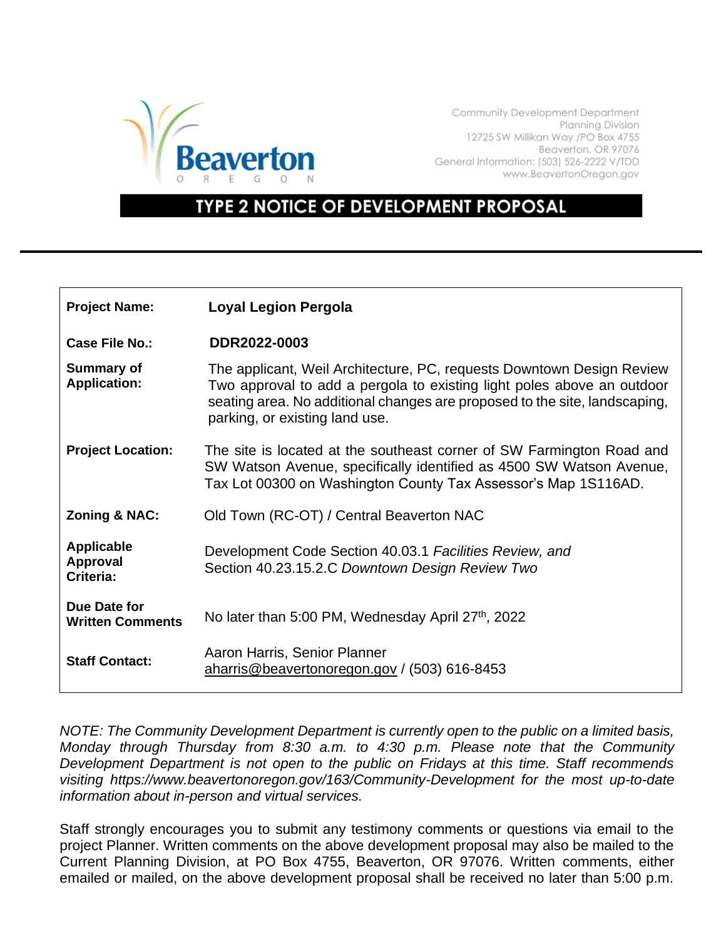

Community Development Department Planning Division 12725 SW Millikan Way /PO Box 4755 Beaverton, OR 97076 General Information: (503) 526-2222 V/TDD www.BeavertonOregon.gov

## **TYPE 2 NOTICE OF DEVELOPMENT PROPOSAL**

| <b>Project Name:</b>                              | <b>Loyal Legion Pergola</b>                                                                                                                                                                                                                                     |
|---------------------------------------------------|-----------------------------------------------------------------------------------------------------------------------------------------------------------------------------------------------------------------------------------------------------------------|
| Case File No.:                                    | DDR2022-0003                                                                                                                                                                                                                                                    |
| <b>Summary of</b><br><b>Application:</b>          | The applicant, Weil Architecture, PC, requests Downtown Design Review<br>Two approval to add a pergola to existing light poles above an outdoor<br>seating area. No additional changes are proposed to the site, landscaping,<br>parking, or existing land use. |
| <b>Project Location:</b>                          | The site is located at the southeast corner of SW Farmington Road and<br>SW Watson Avenue, specifically identified as 4500 SW Watson Avenue,<br>Tax Lot 00300 on Washington County Tax Assessor's Map 1S116AD.                                                  |
| <b>Zoning &amp; NAC:</b>                          | Old Town (RC-OT) / Central Beaverton NAC                                                                                                                                                                                                                        |
| <b>Applicable</b><br><b>Approval</b><br>Criteria: | Development Code Section 40.03.1 Facilities Review, and<br>Section 40.23.15.2.C Downtown Design Review Two                                                                                                                                                      |
| Due Date for<br><b>Written Comments</b>           | No later than 5:00 PM, Wednesday April 27 <sup>th</sup> , 2022                                                                                                                                                                                                  |
| <b>Staff Contact:</b>                             | Aaron Harris, Senior Planner<br>aharris@beavertonoregon.gov / (503) 616-8453                                                                                                                                                                                    |

*NOTE: The Community Development Department is currently open to the public on a limited basis, Monday through Thursday from 8:30 a.m. to 4:30 p.m. Please note that the Community Development Department is not open to the public on Fridays at this time. Staff recommends visiting https://www.beavertonoregon.gov/163/Community-Development for the most up-to-date information about in-person and virtual services.* 

Staff strongly encourages you to submit any testimony comments or questions via email to the project Planner. Written comments on the above development proposal may also be mailed to the Current Planning Division, at PO Box 4755, Beaverton, OR 97076. Written comments, either emailed or mailed, on the above development proposal shall be received no later than 5:00 p.m.